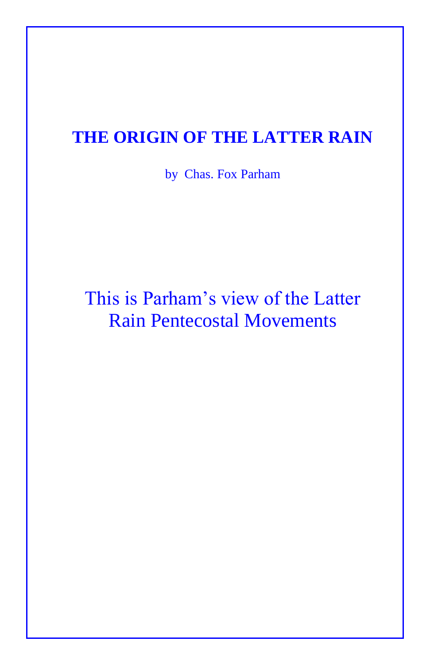## **THE ORIGIN OF THE LATTER RAIN**

by Chas. Fox Parham

## This is Parham's view of the Latter Rain Pentecostal Movements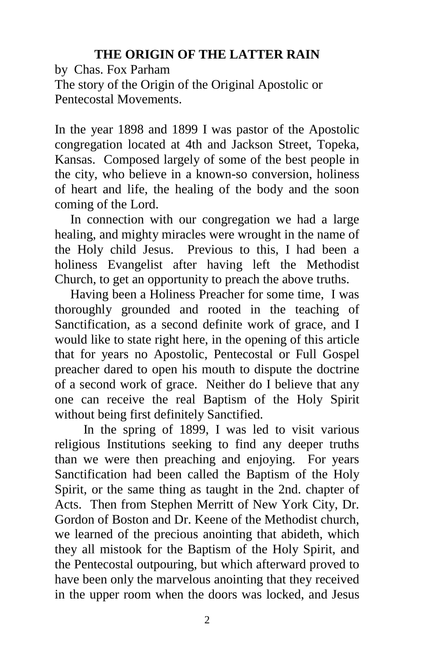## **THE ORIGIN OF THE LATTER RAIN**

by Chas. Fox Parham The story of the Origin of the Original Apostolic or Pentecostal Movements.

In the year 1898 and 1899 I was pastor of the Apostolic congregation located at 4th and Jackson Street, Topeka, Kansas. Composed largely of some of the best people in the city, who believe in a known-so conversion, holiness of heart and life, the healing of the body and the soon coming of the Lord.

In connection with our congregation we had a large healing, and mighty miracles were wrought in the name of the Holy child Jesus. Previous to this, I had been a holiness Evangelist after having left the Methodist Church, to get an opportunity to preach the above truths.

Having been a Holiness Preacher for some time, I was thoroughly grounded and rooted in the teaching of Sanctification, as a second definite work of grace, and I would like to state right here, in the opening of this article that for years no Apostolic, Pentecostal or Full Gospel preacher dared to open his mouth to dispute the doctrine of a second work of grace. Neither do I believe that any one can receive the real Baptism of the Holy Spirit without being first definitely Sanctified.

 In the spring of 1899, I was led to visit various religious Institutions seeking to find any deeper truths than we were then preaching and enjoying. For years Sanctification had been called the Baptism of the Holy Spirit, or the same thing as taught in the 2nd. chapter of Acts. Then from Stephen Merritt of New York City, Dr. Gordon of Boston and Dr. Keene of the Methodist church, we learned of the precious anointing that abideth, which they all mistook for the Baptism of the Holy Spirit, and the Pentecostal outpouring, but which afterward proved to have been only the marvelous anointing that they received in the upper room when the doors was locked, and Jesus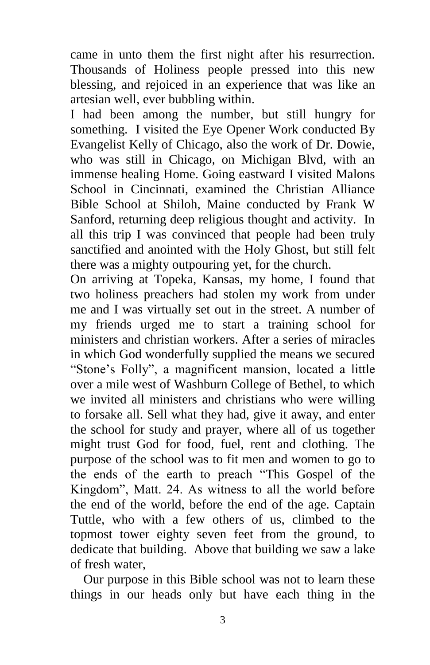came in unto them the first night after his resurrection. Thousands of Holiness people pressed into this new blessing, and rejoiced in an experience that was like an artesian well, ever bubbling within.

I had been among the number, but still hungry for something. I visited the Eye Opener Work conducted By Evangelist Kelly of Chicago, also the work of Dr. Dowie, who was still in Chicago, on Michigan Blvd, with an immense healing Home. Going eastward I visited Malons School in Cincinnati, examined the Christian Alliance Bible School at Shiloh, Maine conducted by Frank W Sanford, returning deep religious thought and activity. In all this trip I was convinced that people had been truly sanctified and anointed with the Holy Ghost, but still felt there was a mighty outpouring yet, for the church.

On arriving at Topeka, Kansas, my home, I found that two holiness preachers had stolen my work from under me and I was virtually set out in the street. A number of my friends urged me to start a training school for ministers and christian workers. After a series of miracles in which God wonderfully supplied the means we secured "Stone's Folly", a magnificent mansion, located a little over a mile west of Washburn College of Bethel, to which we invited all ministers and christians who were willing to forsake all. Sell what they had, give it away, and enter the school for study and prayer, where all of us together might trust God for food, fuel, rent and clothing. The purpose of the school was to fit men and women to go to the ends of the earth to preach "This Gospel of the Kingdom", Matt. 24. As witness to all the world before the end of the world, before the end of the age. Captain Tuttle, who with a few others of us, climbed to the topmost tower eighty seven feet from the ground, to dedicate that building. Above that building we saw a lake of fresh water,

 Our purpose in this Bible school was not to learn these things in our heads only but have each thing in the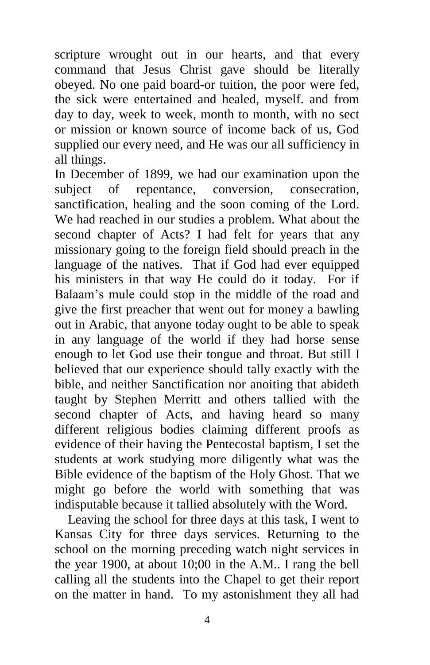scripture wrought out in our hearts, and that every command that Jesus Christ gave should be literally obeyed. No one paid board-or tuition, the poor were fed, the sick were entertained and healed, myself. and from day to day, week to week, month to month, with no sect or mission or known source of income back of us, God supplied our every need, and He was our all sufficiency in all things.

In December of 1899, we had our examination upon the subject of repentance, conversion, consecration, sanctification, healing and the soon coming of the Lord. We had reached in our studies a problem. What about the second chapter of Acts? I had felt for years that any missionary going to the foreign field should preach in the language of the natives. That if God had ever equipped his ministers in that way He could do it today. For if Balaam's mule could stop in the middle of the road and give the first preacher that went out for money a bawling out in Arabic, that anyone today ought to be able to speak in any language of the world if they had horse sense enough to let God use their tongue and throat. But still I believed that our experience should tally exactly with the bible, and neither Sanctification nor anoiting that abideth taught by Stephen Merritt and others tallied with the second chapter of Acts, and having heard so many different religious bodies claiming different proofs as evidence of their having the Pentecostal baptism, I set the students at work studying more diligently what was the Bible evidence of the baptism of the Holy Ghost. That we might go before the world with something that was indisputable because it tallied absolutely with the Word.

 Leaving the school for three days at this task, I went to Kansas City for three days services. Returning to the school on the morning preceding watch night services in the year 1900, at about 10;00 in the A.M.. I rang the bell calling all the students into the Chapel to get their report on the matter in hand. To my astonishment they all had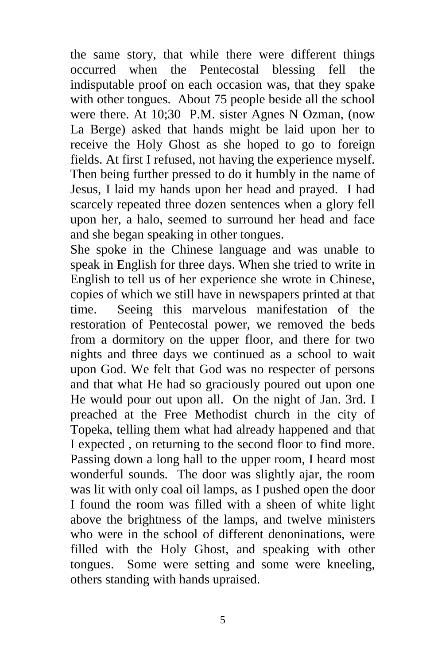the same story, that while there were different things occurred when the Pentecostal blessing fell the indisputable proof on each occasion was, that they spake with other tongues. About 75 people beside all the school were there. At 10;30 P.M. sister Agnes N Ozman, (now La Berge) asked that hands might be laid upon her to receive the Holy Ghost as she hoped to go to foreign fields. At first I refused, not having the experience myself. Then being further pressed to do it humbly in the name of Jesus, I laid my hands upon her head and prayed. I had scarcely repeated three dozen sentences when a glory fell upon her, a halo, seemed to surround her head and face and she began speaking in other tongues.

She spoke in the Chinese language and was unable to speak in English for three days. When she tried to write in English to tell us of her experience she wrote in Chinese, copies of which we still have in newspapers printed at that time. Seeing this marvelous manifestation of the restoration of Pentecostal power, we removed the beds from a dormitory on the upper floor, and there for two nights and three days we continued as a school to wait upon God. We felt that God was no respecter of persons and that what He had so graciously poured out upon one He would pour out upon all. On the night of Jan. 3rd. I preached at the Free Methodist church in the city of Topeka, telling them what had already happened and that I expected , on returning to the second floor to find more. Passing down a long hall to the upper room, I heard most wonderful sounds. The door was slightly ajar, the room was lit with only coal oil lamps, as I pushed open the door I found the room was filled with a sheen of white light above the brightness of the lamps, and twelve ministers who were in the school of different denoninations, were filled with the Holy Ghost, and speaking with other tongues. Some were setting and some were kneeling, others standing with hands upraised.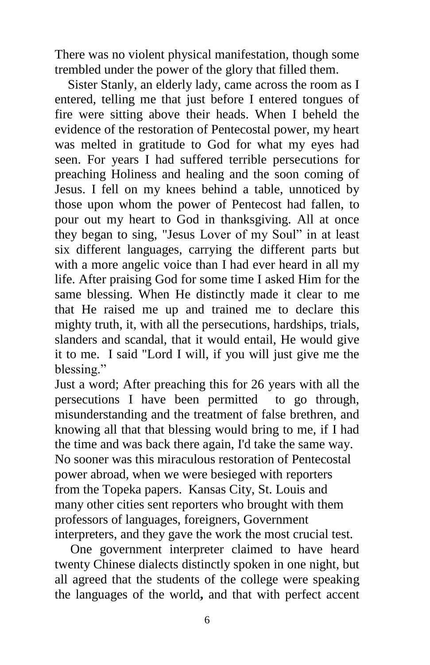There was no violent physical manifestation, though some trembled under the power of the glory that filled them.

 Sister Stanly, an elderly lady, came across the room as I entered, telling me that just before I entered tongues of fire were sitting above their heads. When I beheld the evidence of the restoration of Pentecostal power, my heart was melted in gratitude to God for what my eyes had seen. For years I had suffered terrible persecutions for preaching Holiness and healing and the soon coming of Jesus. I fell on my knees behind a table, unnoticed by those upon whom the power of Pentecost had fallen, to pour out my heart to God in thanksgiving. All at once they began to sing, "Jesus Lover of my Soul" in at least six different languages, carrying the different parts but with a more angelic voice than I had ever heard in all my life. After praising God for some time I asked Him for the same blessing. When He distinctly made it clear to me that He raised me up and trained me to declare this mighty truth, it, with all the persecutions, hardships, trials, slanders and scandal, that it would entail, He would give it to me. I said "Lord I will, if you will just give me the blessing."

Just a word; After preaching this for 26 years with all the persecutions I have been permitted to go through, misunderstanding and the treatment of false brethren, and knowing all that that blessing would bring to me, if I had the time and was back there again, I'd take the same way. No sooner was this miraculous restoration of Pentecostal power abroad, when we were besieged with reporters from the Topeka papers. Kansas City, St. Louis and many other cities sent reporters who brought with them professors of languages, foreigners, Government interpreters, and they gave the work the most crucial test.

One government interpreter claimed to have heard twenty Chinese dialects distinctly spoken in one night, but all agreed that the students of the college were speaking the languages of the world**,** and that with perfect accent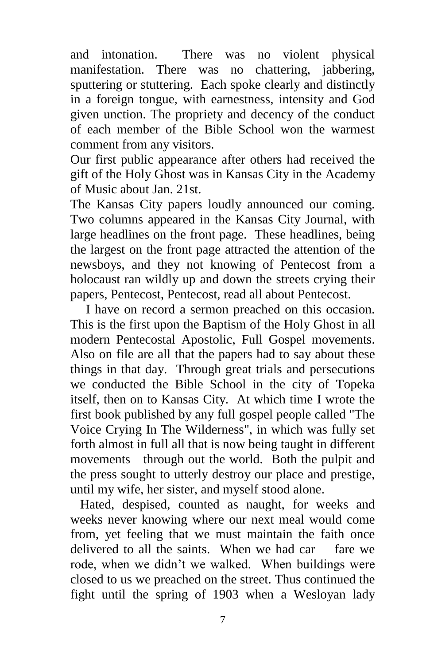and intonation. There was no violent physical manifestation. There was no chattering, jabbering, sputtering or stuttering. Each spoke clearly and distinctly in a foreign tongue, with earnestness, intensity and God given unction. The propriety and decency of the conduct of each member of the Bible School won the warmest comment from any visitors.

Our first public appearance after others had received the gift of the Holy Ghost was in Kansas City in the Academy of Music about Jan. 21st.

The Kansas City papers loudly announced our coming. Two columns appeared in the Kansas City Journal, with large headlines on the front page. These headlines, being the largest on the front page attracted the attention of the newsboys, and they not knowing of Pentecost from a holocaust ran wildly up and down the streets crying their papers, Pentecost, Pentecost, read all about Pentecost.

I have on record a sermon preached on this occasion. This is the first upon the Baptism of the Holy Ghost in all modern Pentecostal Apostolic, Full Gospel movements. Also on file are all that the papers had to say about these things in that day. Through great trials and persecutions we conducted the Bible School in the city of Topeka itself, then on to Kansas City. At which time I wrote the first book published by any full gospel people called "The Voice Crying In The Wilderness", in which was fully set forth almost in full all that is now being taught in different movements through out the world. Both the pulpit and the press sought to utterly destroy our place and prestige, until my wife, her sister, and myself stood alone.

 Hated, despised, counted as naught, for weeks and weeks never knowing where our next meal would come from, yet feeling that we must maintain the faith once delivered to all the saints. When we had car fare we rode, when we didn't we walked. When buildings were closed to us we preached on the street. Thus continued the fight until the spring of 1903 when a Wesloyan lady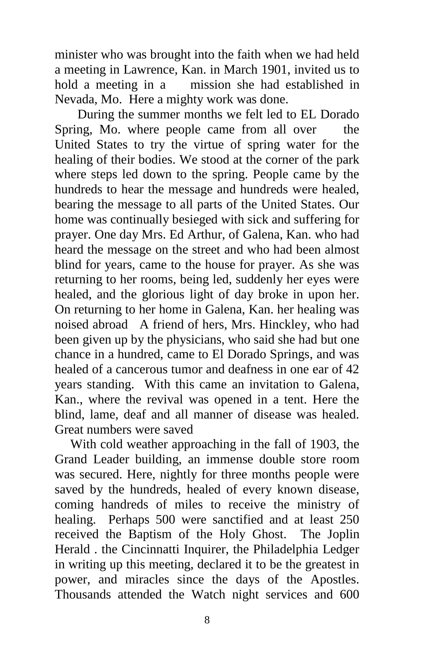minister who was brought into the faith when we had held a meeting in Lawrence, Kan. in March 1901, invited us to hold a meeting in a mission she had established in Nevada, Mo. Here a mighty work was done.

 During the summer months we felt led to EL Dorado Spring, Mo. where people came from all over the United States to try the virtue of spring water for the healing of their bodies. We stood at the corner of the park where steps led down to the spring. People came by the hundreds to hear the message and hundreds were healed, bearing the message to all parts of the United States. Our home was continually besieged with sick and suffering for prayer. One day Mrs. Ed Arthur, of Galena, Kan. who had heard the message on the street and who had been almost blind for years, came to the house for prayer. As she was returning to her rooms, being led, suddenly her eyes were healed, and the glorious light of day broke in upon her. On returning to her home in Galena, Kan. her healing was noised abroad A friend of hers, Mrs. Hinckley, who had been given up by the physicians, who said she had but one chance in a hundred, came to El Dorado Springs, and was healed of a cancerous tumor and deafness in one ear of 42 years standing. With this came an invitation to Galena, Kan., where the revival was opened in a tent. Here the blind, lame, deaf and all manner of disease was healed. Great numbers were saved

With cold weather approaching in the fall of 1903, the Grand Leader building, an immense double store room was secured. Here, nightly for three months people were saved by the hundreds, healed of every known disease, coming handreds of miles to receive the ministry of healing. Perhaps 500 were sanctified and at least 250 received the Baptism of the Holy Ghost. The Joplin Herald . the Cincinnatti Inquirer, the Philadelphia Ledger in writing up this meeting, declared it to be the greatest in power, and miracles since the days of the Apostles. Thousands attended the Watch night services and 600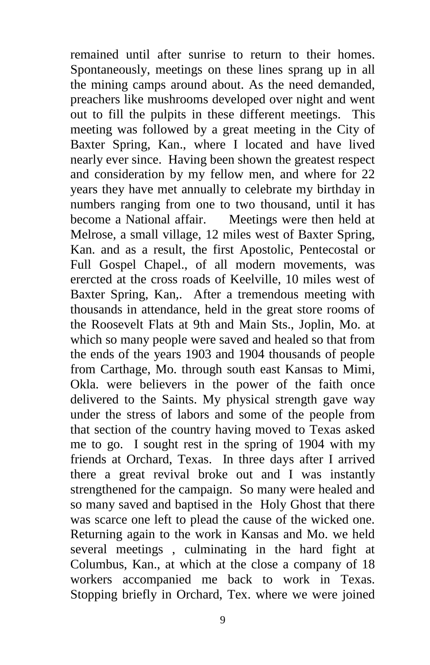remained until after sunrise to return to their homes. Spontaneously, meetings on these lines sprang up in all the mining camps around about. As the need demanded, preachers like mushrooms developed over night and went out to fill the pulpits in these different meetings. This meeting was followed by a great meeting in the City of Baxter Spring, Kan., where I located and have lived nearly ever since. Having been shown the greatest respect and consideration by my fellow men, and where for 22 years they have met annually to celebrate my birthday in numbers ranging from one to two thousand, until it has become a National affair. Meetings were then held at Melrose, a small village, 12 miles west of Baxter Spring, Kan. and as a result, the first Apostolic, Pentecostal or Full Gospel Chapel., of all modern movements, was erercted at the cross roads of Keelville, 10 miles west of Baxter Spring, Kan,. After a tremendous meeting with thousands in attendance, held in the great store rooms of the Roosevelt Flats at 9th and Main Sts., Joplin, Mo. at which so many people were saved and healed so that from the ends of the years 1903 and 1904 thousands of people from Carthage, Mo. through south east Kansas to Mimi, Okla. were believers in the power of the faith once delivered to the Saints. My physical strength gave way under the stress of labors and some of the people from that section of the country having moved to Texas asked me to go. I sought rest in the spring of 1904 with my friends at Orchard, Texas. In three days after I arrived there a great revival broke out and I was instantly strengthened for the campaign. So many were healed and so many saved and baptised in the Holy Ghost that there was scarce one left to plead the cause of the wicked one. Returning again to the work in Kansas and Mo. we held several meetings , culminating in the hard fight at Columbus, Kan., at which at the close a company of 18 workers accompanied me back to work in Texas. Stopping briefly in Orchard, Tex. where we were joined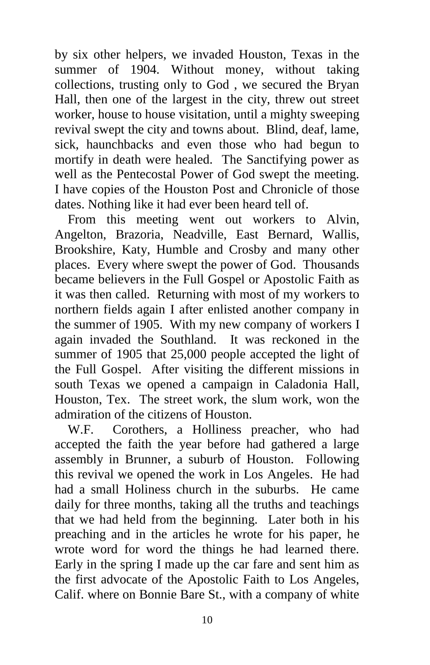by six other helpers, we invaded Houston, Texas in the summer of 1904. Without money, without taking collections, trusting only to God , we secured the Bryan Hall, then one of the largest in the city, threw out street worker, house to house visitation, until a mighty sweeping revival swept the city and towns about. Blind, deaf, lame, sick, haunchbacks and even those who had begun to mortify in death were healed. The Sanctifying power as well as the Pentecostal Power of God swept the meeting. I have copies of the Houston Post and Chronicle of those dates. Nothing like it had ever been heard tell of.

 From this meeting went out workers to Alvin, Angelton, Brazoria, Neadville, East Bernard, Wallis, Brookshire, Katy, Humble and Crosby and many other places. Every where swept the power of God. Thousands became believers in the Full Gospel or Apostolic Faith as it was then called. Returning with most of my workers to northern fields again I after enlisted another company in the summer of 1905. With my new company of workers I again invaded the Southland. It was reckoned in the summer of 1905 that 25,000 people accepted the light of the Full Gospel. After visiting the different missions in south Texas we opened a campaign in Caladonia Hall, Houston, Tex. The street work, the slum work, won the admiration of the citizens of Houston.

 W.F. Corothers, a Holliness preacher, who had accepted the faith the year before had gathered a large assembly in Brunner, a suburb of Houston. Following this revival we opened the work in Los Angeles. He had had a small Holiness church in the suburbs. He came daily for three months, taking all the truths and teachings that we had held from the beginning. Later both in his preaching and in the articles he wrote for his paper, he wrote word for word the things he had learned there. Early in the spring I made up the car fare and sent him as the first advocate of the Apostolic Faith to Los Angeles, Calif. where on Bonnie Bare St., with a company of white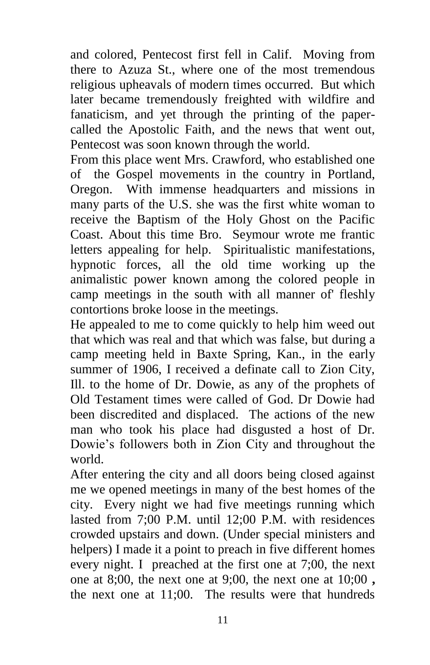and colored, Pentecost first fell in Calif. Moving from there to Azuza St., where one of the most tremendous religious upheavals of modern times occurred. But which later became tremendously freighted with wildfire and fanaticism, and yet through the printing of the papercalled the Apostolic Faith, and the news that went out, Pentecost was soon known through the world.

From this place went Mrs. Crawford, who established one of the Gospel movements in the country in Portland, Oregon. With immense headquarters and missions in many parts of the U.S. she was the first white woman to receive the Baptism of the Holy Ghost on the Pacific Coast. About this time Bro. Seymour wrote me frantic letters appealing for help. Spiritualistic manifestations, hypnotic forces, all the old time working up the animalistic power known among the colored people in camp meetings in the south with all manner of' fleshly contortions broke loose in the meetings.

He appealed to me to come quickly to help him weed out that which was real and that which was false, but during a camp meeting held in Baxte Spring, Kan., in the early summer of 1906, I received a definate call to Zion City, Ill. to the home of Dr. Dowie, as any of the prophets of Old Testament times were called of God. Dr Dowie had been discredited and displaced. The actions of the new man who took his place had disgusted a host of Dr. Dowie's followers both in Zion City and throughout the world.

After entering the city and all doors being closed against me we opened meetings in many of the best homes of the city. Every night we had five meetings running which lasted from 7;00 P.M. until 12;00 P.M. with residences crowded upstairs and down. (Under special ministers and helpers) I made it a point to preach in five different homes every night. I preached at the first one at 7;00, the next one at 8;00, the next one at 9;00, the next one at 10;00 **,**  the next one at 11;00. The results were that hundreds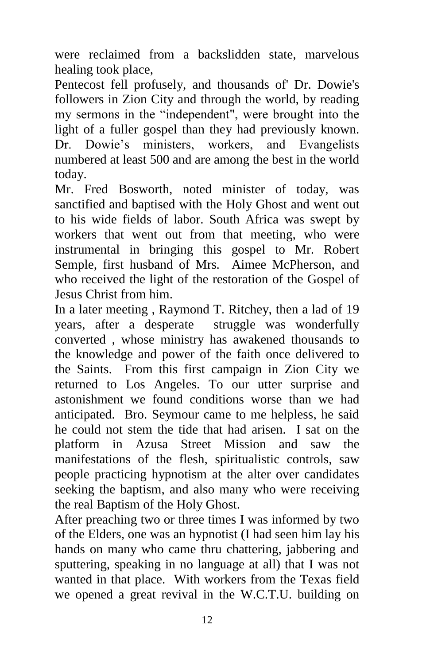were reclaimed from a backslidden state, marvelous healing took place,

Pentecost fell profusely, and thousands of' Dr. Dowie's followers in Zion City and through the world, by reading my sermons in the "independent", were brought into the light of a fuller gospel than they had previously known. Dr. Dowie's ministers, workers, and Evangelists numbered at least 500 and are among the best in the world today.

Mr. Fred Bosworth, noted minister of today, was sanctified and baptised with the Holy Ghost and went out to his wide fields of labor. South Africa was swept by workers that went out from that meeting, who were instrumental in bringing this gospel to Mr. Robert Semple, first husband of Mrs*.* Aimee McPherson, and who received the light of the restoration of the Gospel of Jesus Christ from him.

In a later meeting , Raymond T. Ritchey, then a lad of 19 years, after a desperate struggle was wonderfully converted , whose ministry has awakened thousands to the knowledge and power of the faith once delivered to the Saints. From this first campaign in Zion City we returned to Los Angeles. To our utter surprise and astonishment we found conditions worse than we had anticipated. Bro. Seymour came to me helpless, he said he could not stem the tide that had arisen. I sat on the platform in Azusa Street Mission and saw the manifestations of the flesh, spiritualistic controls, saw people practicing hypnotism at the alter over candidates seeking the baptism, and also many who were receiving the real Baptism of the Holy Ghost.

After preaching two or three times I was informed by two of the Elders, one was an hypnotist (I had seen him lay his hands on many who came thru chattering, jabbering and sputtering, speaking in no language at all) that I was not wanted in that place. With workers from the Texas field we opened a great revival in the W.C.T.U. building on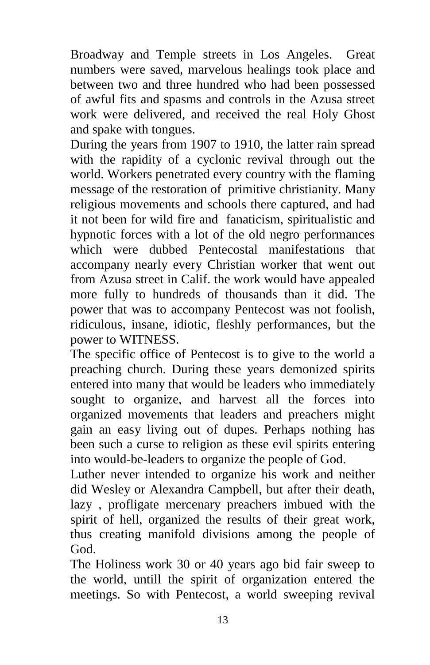Broadway and Temple streets in Los Angeles. Great numbers were saved, marvelous healings took place and between two and three hundred who had been possessed of awful fits and spasms and controls in the Azusa street work were delivered, and received the real Holy Ghost and spake with tongues.

During the years from 1907 to 1910, the latter rain spread with the rapidity of a cyclonic revival through out the world. Workers penetrated every country with the flaming message of the restoration of primitive christianity. Many religious movements and schools there captured, and had it not been for wild fire and fanaticism, spiritualistic and hypnotic forces with a lot of the old negro performances which were dubbed Pentecostal manifestations that accompany nearly every Christian worker that went out from Azusa street in Calif. the work would have appealed more fully to hundreds of thousands than it did. The power that was to accompany Pentecost was not foolish, ridiculous, insane, idiotic, fleshly performances, but the power to WITNESS.

The specific office of Pentecost is to give to the world a preaching church. During these years demonized spirits entered into many that would be leaders who immediately sought to organize, and harvest all the forces into organized movements that leaders and preachers might gain an easy living out of dupes. Perhaps nothing has been such a curse to religion as these evil spirits entering into would-be-leaders to organize the people of God.

Luther never intended to organize his work and neither did Wesley or Alexandra Campbell, but after their death, lazy , profligate mercenary preachers imbued with the spirit of hell, organized the results of their great work, thus creating manifold divisions among the people of God.

The Holiness work 30 or 40 years ago bid fair sweep to the world, untill the spirit of organization entered the meetings. So with Pentecost, a world sweeping revival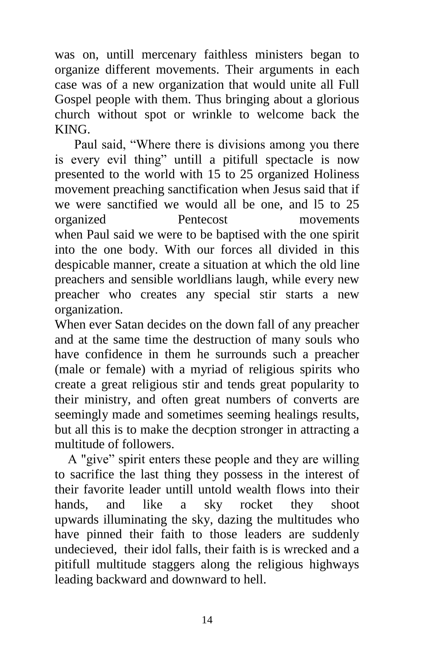was on, untill mercenary faithless ministers began to organize different movements. Their arguments in each case was of a new organization that would unite all Full Gospel people with them. Thus bringing about a glorious church without spot or wrinkle to welcome back the KING.

 Paul said, "Where there is divisions among you there is every evil thing" untill a pitifull spectacle is now presented to the world with 15 to 25 organized Holiness movement preaching sanctification when Jesus said that if we were sanctified we would all be one, and l5 to 25 organized Pentecost movements when Paul said we were to be baptised with the one spirit into the one body. With our forces all divided in this despicable manner, create a situation at which the old line preachers and sensible worldlians laugh, while every new preacher who creates any special stir starts a new organization.

When ever Satan decides on the down fall of any preacher and at the same time the destruction of many souls who have confidence in them he surrounds such a preacher (male or female) with a myriad of religious spirits who create a great religious stir and tends great popularity to their ministry, and often great numbers of converts are seemingly made and sometimes seeming healings results, but all this is to make the decption stronger in attracting a multitude of followers.

 A "give" spirit enters these people and they are willing to sacrifice the last thing they possess in the interest of their favorite leader untill untold wealth flows into their hands, and like a sky rocket they shoot upwards illuminating the sky, dazing the multitudes who have pinned their faith to those leaders are suddenly undecieved, their idol falls, their faith is is wrecked and a pitifull multitude staggers along the religious highways leading backward and downward to hell.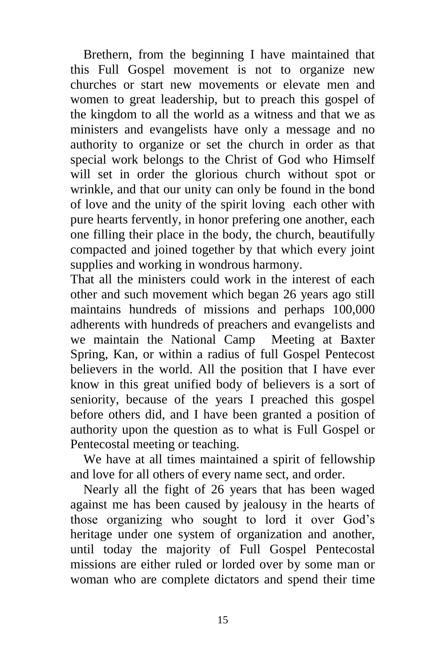Brethern, from the beginning I have maintained that this Full Gospel movement is not to organize new churches or start new movements or elevate men and women to great leadership, but to preach this gospel of the kingdom to all the world as a witness and that we as ministers and evangelists have only a message and no authority to organize or set the church in order as that special work belongs to the Christ of God who Himself will set in order the glorious church without spot or wrinkle, and that our unity can only be found in the bond of love and the unity of the spirit loving each other with pure hearts fervently, in honor prefering one another, each one filling their place in the body, the church, beautifully compacted and joined together by that which every joint supplies and working in wondrous harmony.

That all the ministers could work in the interest of each other and such movement which began 26 years ago still maintains hundreds of missions and perhaps 100,000 adherents with hundreds of preachers and evangelists and we maintain the National Camp Meeting at Baxter Spring, Kan, or within a radius of full Gospel Pentecost believers in the world. All the position that I have ever know in this great unified body of believers is a sort of seniority, because of the years I preached this gospel before others did, and I have been granted a position of authority upon the question as to what is Full Gospel or Pentecostal meeting or teaching.

We have at all times maintained a spirit of fellowship and love for all others of every name sect, and order.

 Nearly all the fight of 26 years that has been waged against me has been caused by jealousy in the hearts of those organizing who sought to lord it over God's heritage under one system of organization and another, until today the majority of Full Gospel Pentecostal missions are either ruled or lorded over by some man or woman who are complete dictators and spend their time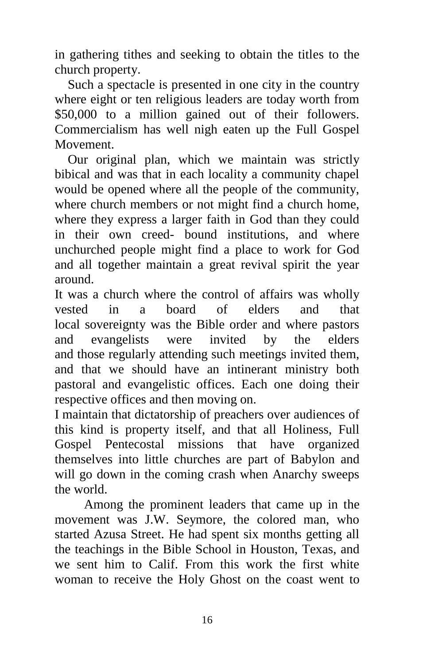in gathering tithes and seeking to obtain the titles to the church property.

 Such a spectacle is presented in one city in the country where eight or ten religious leaders are today worth from \$50,000 to a million gained out of their followers. Commercialism has well nigh eaten up the Full Gospel Movement.

 Our original plan, which we maintain was strictly bibical and was that in each locality a community chapel would be opened where all the people of the community, where church members or not might find a church home, where they express a larger faith in God than they could in their own creed- bound institutions, and where unchurched people might find a place to work for God and all together maintain a great revival spirit the year around.

It was a church where the control of affairs was wholly vested in a board of elders and that local sovereignty was the Bible order and where pastors and evangelists were invited by the elders and those regularly attending such meetings invited them, and that we should have an intinerant ministry both pastoral and evangelistic offices. Each one doing their respective offices and then moving on.

I maintain that dictatorship of preachers over audiences of this kind is property itself, and that all Holiness, Full Gospel Pentecostal missions that have organized themselves into little churches are part of Babylon and will go down in the coming crash when Anarchy sweeps the world.

 Among the prominent leaders that came up in the movement was J.W. Seymore, the colored man, who started Azusa Street. He had spent six months getting all the teachings in the Bible School in Houston, Texas, and we sent him to Calif. From this work the first white woman to receive the Holy Ghost on the coast went to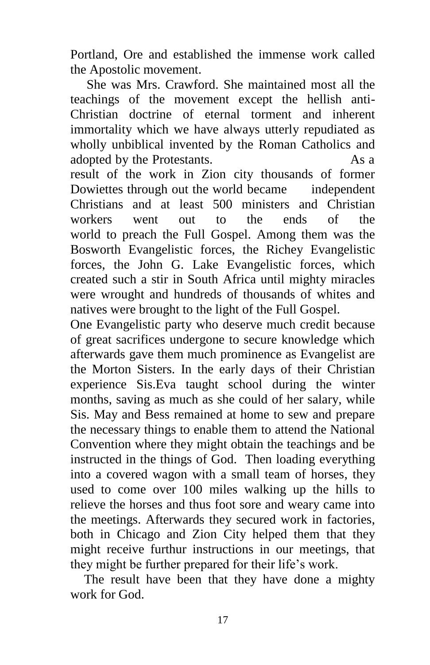Portland, Ore and established the immense work called the Apostolic movement.

 She was Mrs. Crawford. She maintained most all the teachings of the movement except the hellish anti-Christian doctrine of eternal torment and inherent immortality which we have always utterly repudiated as wholly unbiblical invented by the Roman Catholics and adopted by the Protestants. As a result of the work in Zion city thousands of former Dowiettes through out the world became independent Christians and at least 500 ministers and Christian workers went out to the ends of the world to preach the Full Gospel. Among them was the Bosworth Evangelistic forces, the Richey Evangelistic forces, the John G. Lake Evangelistic forces, which created such a stir in South Africa until mighty miracles were wrought and hundreds of thousands of whites and natives were brought to the light of the Full Gospel.

One Evangelistic party who deserve much credit because of great sacrifices undergone to secure knowledge which afterwards gave them much prominence as Evangelist are the Morton Sisters. In the early days of their Christian experience Sis.Eva taught school during the winter months, saving as much as she could of her salary, while Sis. May and Bess remained at home to sew and prepare the necessary things to enable them to attend the National Convention where they might obtain the teachings and be instructed in the things of God. Then loading everything into a covered wagon with a small team of horses, they used to come over 100 miles walking up the hills to relieve the horses and thus foot sore and weary came into the meetings. Afterwards they secured work in factories, both in Chicago and Zion City helped them that they might receive furthur instructions in our meetings, that they might be further prepared for their life's work.

 The result have been that they have done a mighty work for God.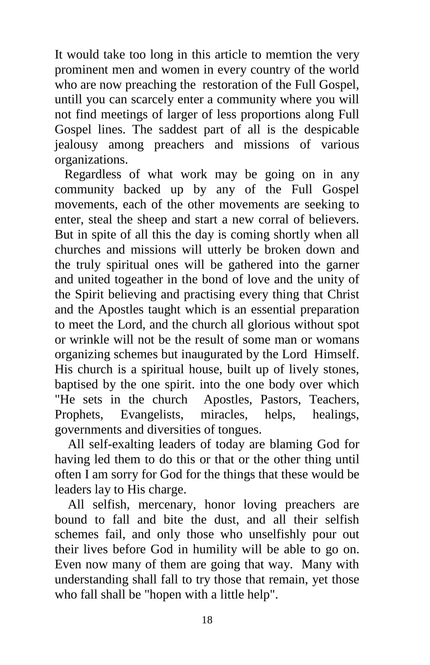It would take too long in this article to memtion the very prominent men and women in every country of the world who are now preaching the restoration of the Full Gospel, untill you can scarcely enter a community where you will not find meetings of larger of less proportions along Full Gospel lines. The saddest part of all is the despicable jealousy among preachers and missions of various organizations.

 Regardless of what work may be going on in any community backed up by any of the Full Gospel movements, each of the other movements are seeking to enter, steal the sheep and start a new corral of believers. But in spite of all this the day is coming shortly when all churches and missions will utterly be broken down and the truly spiritual ones will be gathered into the garner and united togeather in the bond of love and the unity of the Spirit believing and practising every thing that Christ and the Apostles taught which is an essential preparation to meet the Lord, and the church all glorious without spot or wrinkle will not be the result of some man or womans organizing schemes but inaugurated by the Lord Himself. His church is a spiritual house, built up of lively stones, baptised by the one spirit. into the one body over which "He sets in the church Apostles, Pastors, Teachers, Prophets, Evangelists, miracles, helps, healings, governments and diversities of tongues.

 All self-exalting leaders of today are blaming God for having led them to do this or that or the other thing until often I am sorry for God for the things that these would be leaders lay to His charge.

 All selfish, mercenary, honor loving preachers are bound to fall and bite the dust, and all their selfish schemes fail, and only those who unselfishly pour out their lives before God in humility will be able to go on. Even now many of them are going that way. Many with understanding shall fall to try those that remain, yet those who fall shall be "hopen with a little help".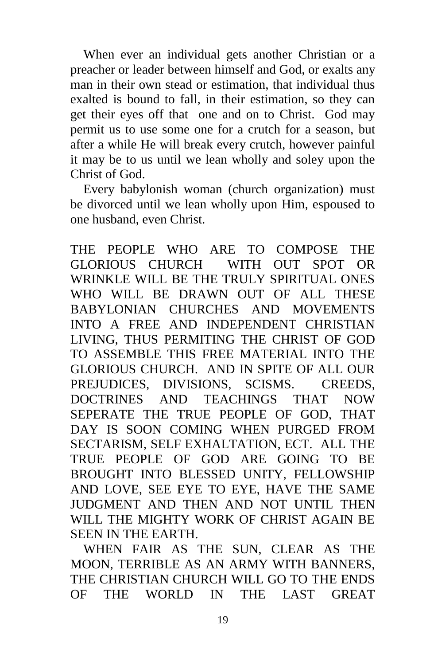When ever an individual gets another Christian or a preacher or leader between himself and God, or exalts any man in their own stead or estimation, that individual thus exalted is bound to fall, in their estimation, so they can get their eyes off that one and on to Christ. God may permit us to use some one for a crutch for a season, but after a while He will break every crutch, however painful it may be to us until we lean wholly and soley upon the Christ of God.

 Every babylonish woman (church organization) must be divorced until we lean wholly upon Him, espoused to one husband, even Christ.

THE PEOPLE WHO ARE TO COMPOSE THE GLORIOUS CHURCH WITH OUT SPOT OR WRINKLE WILL BE THE TRULY SPIRITUAL ONES WHO WILL BE DRAWN OUT OF ALL THESE BABYLONIAN CHURCHES AND MOVEMENTS INTO A FREE AND INDEPENDENT CHRISTIAN LIVING, THUS PERMITING THE CHRIST OF GOD TO ASSEMBLE THIS FREE MATERIAL INTO THE GLORIOUS CHURCH. AND IN SPITE OF ALL OUR PREJUDICES, DIVISIONS, SCISMS. CREEDS, DOCTRINES AND TEACHINGS THAT NOW SEPERATE THE TRUE PEOPLE OF GOD, THAT DAY IS SOON COMING WHEN PURGED FROM SECTARISM, SELF EXHALTATION, ECT. ALL THE TRUE PEOPLE OF GOD ARE GOING TO BE BROUGHT INTO BLESSED UNITY, FELLOWSHIP AND LOVE, SEE EYE TO EYE, HAVE THE SAME JUDGMENT AND THEN AND NOT UNTIL THEN WILL THE MIGHTY WORK OF CHRIST AGAIN BE SEEN IN THE EARTH.

 WHEN FAIR AS THE SUN, CLEAR AS THE MOON, TERRIBLE AS AN ARMY WITH BANNERS, THE CHRISTIAN CHURCH WILL GO TO THE ENDS OF THE WORLD IN THE LAST GREAT